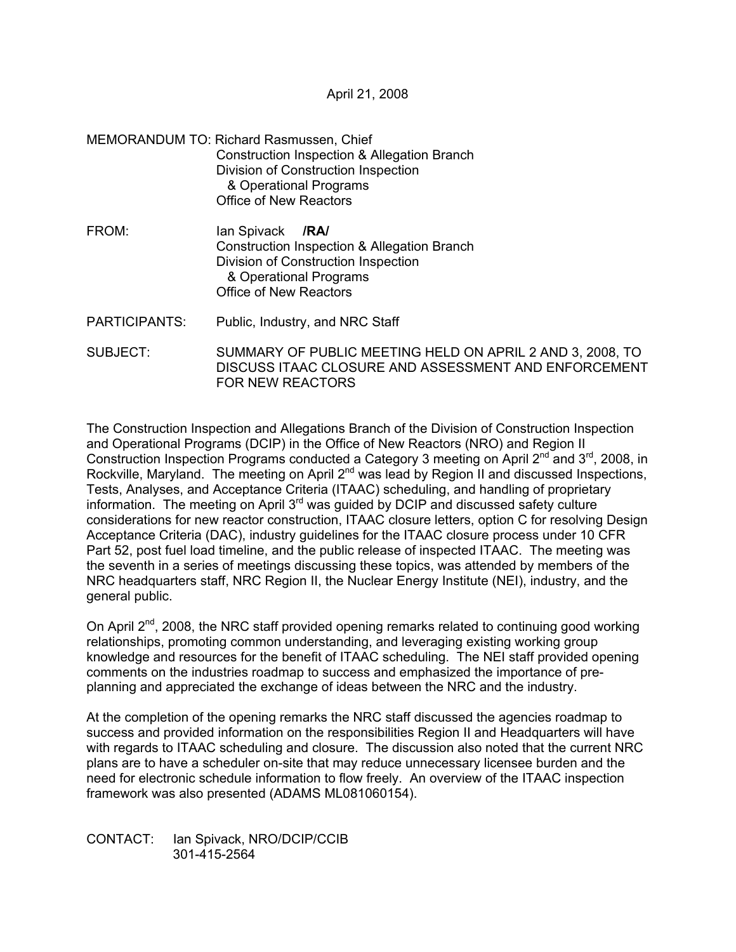April 21, 2008

- MEMORANDUM TO: Richard Rasmussen, Chief Construction Inspection & Allegation Branch Division of Construction Inspection & Operational Programs Office of New Reactors
- FROM: Ian Spivack **/RA/**  Construction Inspection & Allegation Branch Division of Construction Inspection & Operational Programs Office of New Reactors
- PARTICIPANTS: Public, Industry, and NRC Staff
- SUBJECT: SUMMARY OF PUBLIC MEETING HELD ON APRIL 2 AND 3, 2008, TO DISCUSS ITAAC CLOSURE AND ASSESSMENT AND ENFORCEMENT FOR NEW REACTORS

The Construction Inspection and Allegations Branch of the Division of Construction Inspection and Operational Programs (DCIP) in the Office of New Reactors (NRO) and Region II Construction Inspection Programs conducted a Category 3 meeting on April 2<sup>nd</sup> and 3<sup>rd</sup>, 2008, in Rockville, Maryland. The meeting on April 2<sup>nd</sup> was lead by Region II and discussed Inspections, Tests, Analyses, and Acceptance Criteria (ITAAC) scheduling, and handling of proprietary information. The meeting on April 3<sup>rd</sup> was guided by DCIP and discussed safety culture considerations for new reactor construction, ITAAC closure letters, option C for resolving Design Acceptance Criteria (DAC), industry guidelines for the ITAAC closure process under 10 CFR Part 52, post fuel load timeline, and the public release of inspected ITAAC. The meeting was the seventh in a series of meetings discussing these topics, was attended by members of the NRC headquarters staff, NRC Region II, the Nuclear Energy Institute (NEI), industry, and the general public.

On April 2<sup>nd</sup>, 2008, the NRC staff provided opening remarks related to continuing good working relationships, promoting common understanding, and leveraging existing working group knowledge and resources for the benefit of ITAAC scheduling. The NEI staff provided opening comments on the industries roadmap to success and emphasized the importance of preplanning and appreciated the exchange of ideas between the NRC and the industry.

At the completion of the opening remarks the NRC staff discussed the agencies roadmap to success and provided information on the responsibilities Region II and Headquarters will have with regards to ITAAC scheduling and closure. The discussion also noted that the current NRC plans are to have a scheduler on-site that may reduce unnecessary licensee burden and the need for electronic schedule information to flow freely. An overview of the ITAAC inspection framework was also presented (ADAMS ML081060154).

CONTACT: Ian Spivack, NRO/DCIP/CCIB 301-415-2564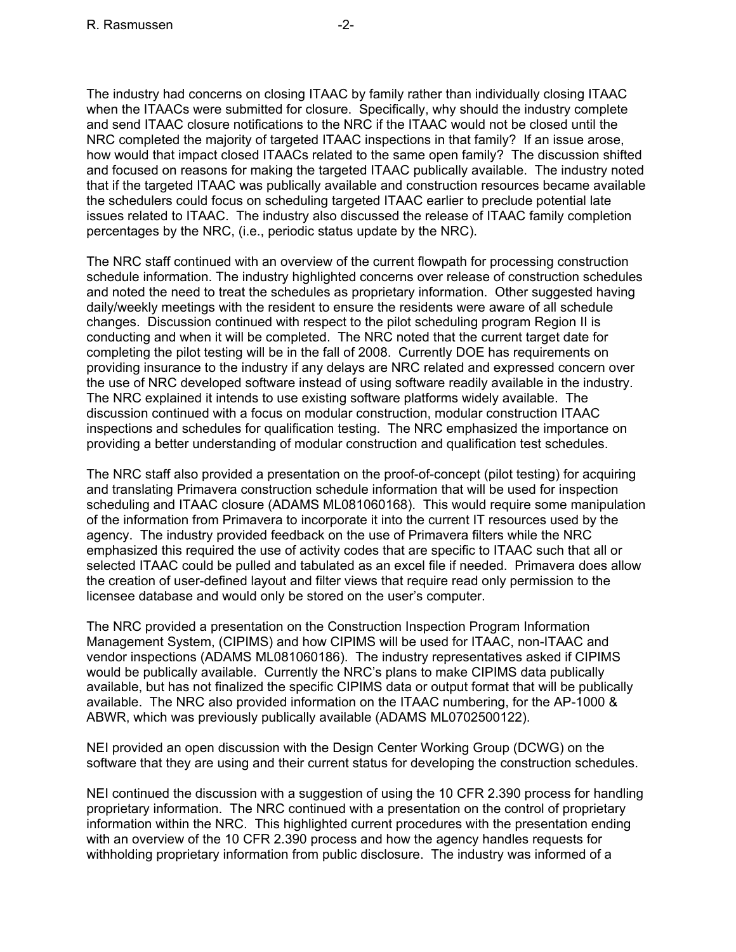The industry had concerns on closing ITAAC by family rather than individually closing ITAAC when the ITAACs were submitted for closure. Specifically, why should the industry complete and send ITAAC closure notifications to the NRC if the ITAAC would not be closed until the NRC completed the majority of targeted ITAAC inspections in that family? If an issue arose, how would that impact closed ITAACs related to the same open family? The discussion shifted and focused on reasons for making the targeted ITAAC publically available. The industry noted that if the targeted ITAAC was publically available and construction resources became available the schedulers could focus on scheduling targeted ITAAC earlier to preclude potential late issues related to ITAAC. The industry also discussed the release of ITAAC family completion percentages by the NRC, (i.e., periodic status update by the NRC).

The NRC staff continued with an overview of the current flowpath for processing construction schedule information. The industry highlighted concerns over release of construction schedules and noted the need to treat the schedules as proprietary information. Other suggested having daily/weekly meetings with the resident to ensure the residents were aware of all schedule changes. Discussion continued with respect to the pilot scheduling program Region II is conducting and when it will be completed. The NRC noted that the current target date for completing the pilot testing will be in the fall of 2008. Currently DOE has requirements on providing insurance to the industry if any delays are NRC related and expressed concern over the use of NRC developed software instead of using software readily available in the industry. The NRC explained it intends to use existing software platforms widely available. The discussion continued with a focus on modular construction, modular construction ITAAC inspections and schedules for qualification testing. The NRC emphasized the importance on providing a better understanding of modular construction and qualification test schedules.

The NRC staff also provided a presentation on the proof-of-concept (pilot testing) for acquiring and translating Primavera construction schedule information that will be used for inspection scheduling and ITAAC closure (ADAMS ML081060168). This would require some manipulation of the information from Primavera to incorporate it into the current IT resources used by the agency. The industry provided feedback on the use of Primavera filters while the NRC emphasized this required the use of activity codes that are specific to ITAAC such that all or selected ITAAC could be pulled and tabulated as an excel file if needed. Primavera does allow the creation of user-defined layout and filter views that require read only permission to the licensee database and would only be stored on the user's computer.

The NRC provided a presentation on the Construction Inspection Program Information Management System, (CIPIMS) and how CIPIMS will be used for ITAAC, non-ITAAC and vendor inspections (ADAMS ML081060186). The industry representatives asked if CIPIMS would be publically available. Currently the NRC's plans to make CIPIMS data publically available, but has not finalized the specific CIPIMS data or output format that will be publically available. The NRC also provided information on the ITAAC numbering, for the AP-1000 & ABWR, which was previously publically available (ADAMS ML0702500122).

NEI provided an open discussion with the Design Center Working Group (DCWG) on the software that they are using and their current status for developing the construction schedules.

NEI continued the discussion with a suggestion of using the 10 CFR 2.390 process for handling proprietary information. The NRC continued with a presentation on the control of proprietary information within the NRC. This highlighted current procedures with the presentation ending with an overview of the 10 CFR 2.390 process and how the agency handles requests for withholding proprietary information from public disclosure. The industry was informed of a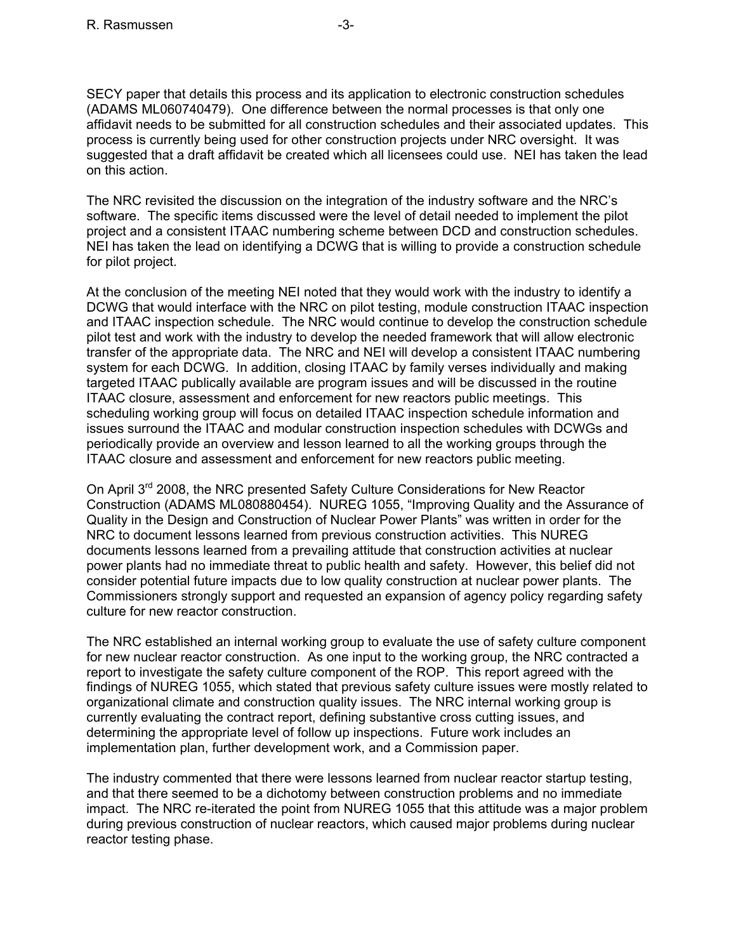SECY paper that details this process and its application to electronic construction schedules (ADAMS ML060740479). One difference between the normal processes is that only one affidavit needs to be submitted for all construction schedules and their associated updates. This process is currently being used for other construction projects under NRC oversight. It was suggested that a draft affidavit be created which all licensees could use. NEI has taken the lead on this action.

The NRC revisited the discussion on the integration of the industry software and the NRC's software. The specific items discussed were the level of detail needed to implement the pilot project and a consistent ITAAC numbering scheme between DCD and construction schedules. NEI has taken the lead on identifying a DCWG that is willing to provide a construction schedule for pilot project.

At the conclusion of the meeting NEI noted that they would work with the industry to identify a DCWG that would interface with the NRC on pilot testing, module construction ITAAC inspection and ITAAC inspection schedule. The NRC would continue to develop the construction schedule pilot test and work with the industry to develop the needed framework that will allow electronic transfer of the appropriate data. The NRC and NEI will develop a consistent ITAAC numbering system for each DCWG. In addition, closing ITAAC by family verses individually and making targeted ITAAC publically available are program issues and will be discussed in the routine ITAAC closure, assessment and enforcement for new reactors public meetings. This scheduling working group will focus on detailed ITAAC inspection schedule information and issues surround the ITAAC and modular construction inspection schedules with DCWGs and periodically provide an overview and lesson learned to all the working groups through the ITAAC closure and assessment and enforcement for new reactors public meeting.

On April 3<sup>rd</sup> 2008, the NRC presented Safety Culture Considerations for New Reactor Construction (ADAMS ML080880454). NUREG 1055, "Improving Quality and the Assurance of Quality in the Design and Construction of Nuclear Power Plants" was written in order for the NRC to document lessons learned from previous construction activities. This NUREG documents lessons learned from a prevailing attitude that construction activities at nuclear power plants had no immediate threat to public health and safety. However, this belief did not consider potential future impacts due to low quality construction at nuclear power plants. The Commissioners strongly support and requested an expansion of agency policy regarding safety culture for new reactor construction.

The NRC established an internal working group to evaluate the use of safety culture component for new nuclear reactor construction. As one input to the working group, the NRC contracted a report to investigate the safety culture component of the ROP. This report agreed with the findings of NUREG 1055, which stated that previous safety culture issues were mostly related to organizational climate and construction quality issues. The NRC internal working group is currently evaluating the contract report, defining substantive cross cutting issues, and determining the appropriate level of follow up inspections. Future work includes an implementation plan, further development work, and a Commission paper.

The industry commented that there were lessons learned from nuclear reactor startup testing, and that there seemed to be a dichotomy between construction problems and no immediate impact. The NRC re-iterated the point from NUREG 1055 that this attitude was a major problem during previous construction of nuclear reactors, which caused major problems during nuclear reactor testing phase.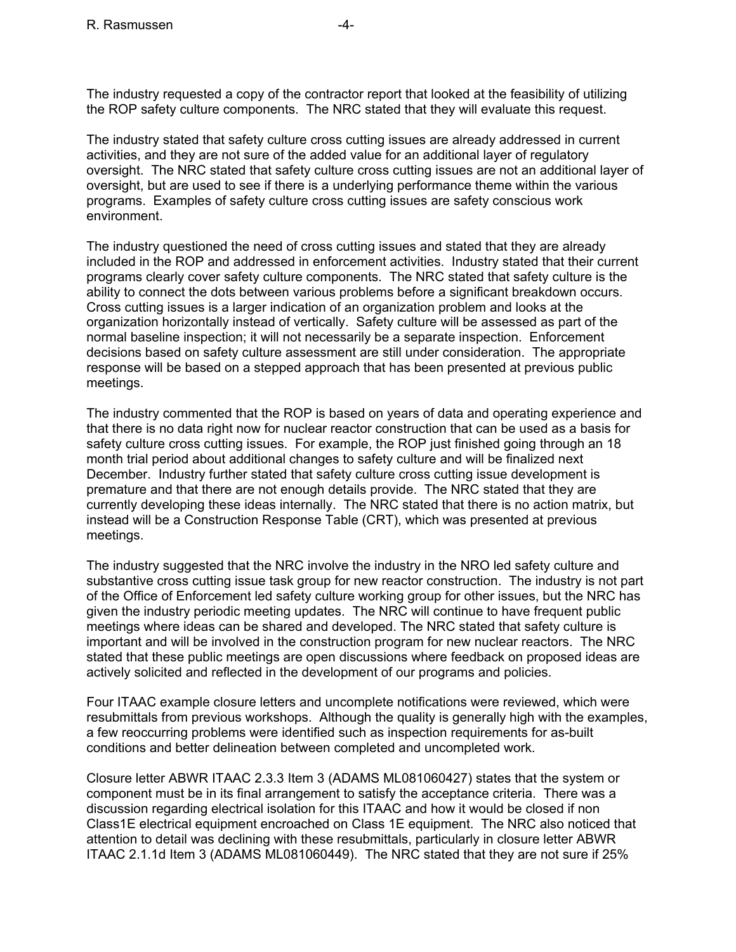The industry requested a copy of the contractor report that looked at the feasibility of utilizing the ROP safety culture components. The NRC stated that they will evaluate this request.

The industry stated that safety culture cross cutting issues are already addressed in current activities, and they are not sure of the added value for an additional layer of regulatory oversight. The NRC stated that safety culture cross cutting issues are not an additional layer of oversight, but are used to see if there is a underlying performance theme within the various programs. Examples of safety culture cross cutting issues are safety conscious work environment.

The industry questioned the need of cross cutting issues and stated that they are already included in the ROP and addressed in enforcement activities. Industry stated that their current programs clearly cover safety culture components. The NRC stated that safety culture is the ability to connect the dots between various problems before a significant breakdown occurs. Cross cutting issues is a larger indication of an organization problem and looks at the organization horizontally instead of vertically. Safety culture will be assessed as part of the normal baseline inspection; it will not necessarily be a separate inspection. Enforcement decisions based on safety culture assessment are still under consideration. The appropriate response will be based on a stepped approach that has been presented at previous public meetings.

The industry commented that the ROP is based on years of data and operating experience and that there is no data right now for nuclear reactor construction that can be used as a basis for safety culture cross cutting issues. For example, the ROP just finished going through an 18 month trial period about additional changes to safety culture and will be finalized next December. Industry further stated that safety culture cross cutting issue development is premature and that there are not enough details provide. The NRC stated that they are currently developing these ideas internally. The NRC stated that there is no action matrix, but instead will be a Construction Response Table (CRT), which was presented at previous meetings.

The industry suggested that the NRC involve the industry in the NRO led safety culture and substantive cross cutting issue task group for new reactor construction. The industry is not part of the Office of Enforcement led safety culture working group for other issues, but the NRC has given the industry periodic meeting updates. The NRC will continue to have frequent public meetings where ideas can be shared and developed. The NRC stated that safety culture is important and will be involved in the construction program for new nuclear reactors. The NRC stated that these public meetings are open discussions where feedback on proposed ideas are actively solicited and reflected in the development of our programs and policies.

Four ITAAC example closure letters and uncomplete notifications were reviewed, which were resubmittals from previous workshops. Although the quality is generally high with the examples, a few reoccurring problems were identified such as inspection requirements for as-built conditions and better delineation between completed and uncompleted work.

Closure letter ABWR ITAAC 2.3.3 Item 3 (ADAMS ML081060427) states that the system or component must be in its final arrangement to satisfy the acceptance criteria. There was a discussion regarding electrical isolation for this ITAAC and how it would be closed if non Class1E electrical equipment encroached on Class 1E equipment. The NRC also noticed that attention to detail was declining with these resubmittals, particularly in closure letter ABWR ITAAC 2.1.1d Item 3 (ADAMS ML081060449). The NRC stated that they are not sure if 25%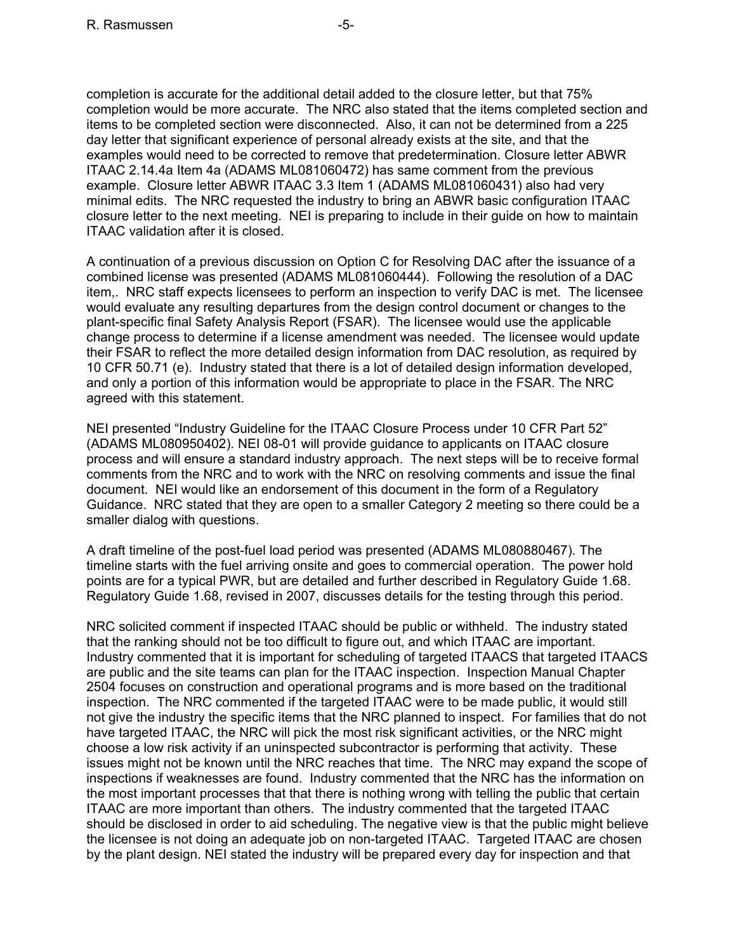completion is accurate for the additional detail added to the closure letter, but that 75% completion would be more accurate. The NRC also stated that the items completed section and items to be completed section were disconnected. Also, it can not be determined from a 225 day letter that significant experience of personal already exists at the site, and that the examples would need to be corrected to remove that predetermination. Closure letter ABWR ITAAC 2.14.4a Item 4a (ADAMS ML081060472) has same comment from the previous example. Closure letter ABWR ITAAC 3.3 Item 1 (ADAMS ML081060431) also had very minimal edits. The NRC requested the industry to bring an ABWR basic configuration ITAAC closure letter to the next meeting. NEI is preparing to include in their guide on how to maintain ITAAC validation after it is closed.

A continuation of a previous discussion on Option C for Resolving DAC after the issuance of a combined license was presented (ADAMS ML081060444). Following the resolution of a DAC item,. NRC staff expects licensees to perform an inspection to verify DAC is met. The licensee would evaluate any resulting departures from the design control document or changes to the plant-specific final Safety Analysis Report (FSAR). The licensee would use the applicable change process to determine if a license amendment was needed. The licensee would update their FSAR to reflect the more detailed design information from DAC resolution, as required by 10 CFR 50.71 (e). Industry stated that there is a lot of detailed design information developed, and only a portion of this information would be appropriate to place in the FSAR. The NRC agreed with this statement.

NEI presented "Industry Guideline for the ITAAC Closure Process under 10 CFR Part 52" (ADAMS ML080950402). NEI 08-01 will provide guidance to applicants on ITAAC closure process and will ensure a standard industry approach. The next steps will be to receive formal comments from the NRC and to work with the NRC on resolving comments and issue the final document. NEI would like an endorsement of this document in the form of a Regulatory Guidance. NRC stated that they are open to a smaller Category 2 meeting so there could be a smaller dialog with questions.

A draft timeline of the post-fuel load period was presented (ADAMS ML080880467). The timeline starts with the fuel arriving onsite and goes to commercial operation. The power hold points are for a typical PWR, but are detailed and further described in Regulatory Guide 1.68. Regulatory Guide 1.68, revised in 2007, discusses details for the testing through this period.

NRC solicited comment if inspected ITAAC should be public or withheld. The industry stated that the ranking should not be too difficult to figure out, and which ITAAC are important. Industry commented that it is important for scheduling of targeted ITAACS that targeted ITAACS are public and the site teams can plan for the ITAAC inspection. Inspection Manual Chapter 2504 focuses on construction and operational programs and is more based on the traditional inspection. The NRC commented if the targeted ITAAC were to be made public, it would still not give the industry the specific items that the NRC planned to inspect. For families that do not have targeted ITAAC, the NRC will pick the most risk significant activities, or the NRC might choose a low risk activity if an uninspected subcontractor is performing that activity. These issues might not be known until the NRC reaches that time. The NRC may expand the scope of inspections if weaknesses are found. Industry commented that the NRC has the information on the most important processes that that there is nothing wrong with telling the public that certain ITAAC are more important than others. The industry commented that the targeted ITAAC should be disclosed in order to aid scheduling. The negative view is that the public might believe the licensee is not doing an adequate job on non-targeted ITAAC. Targeted ITAAC are chosen by the plant design. NEI stated the industry will be prepared every day for inspection and that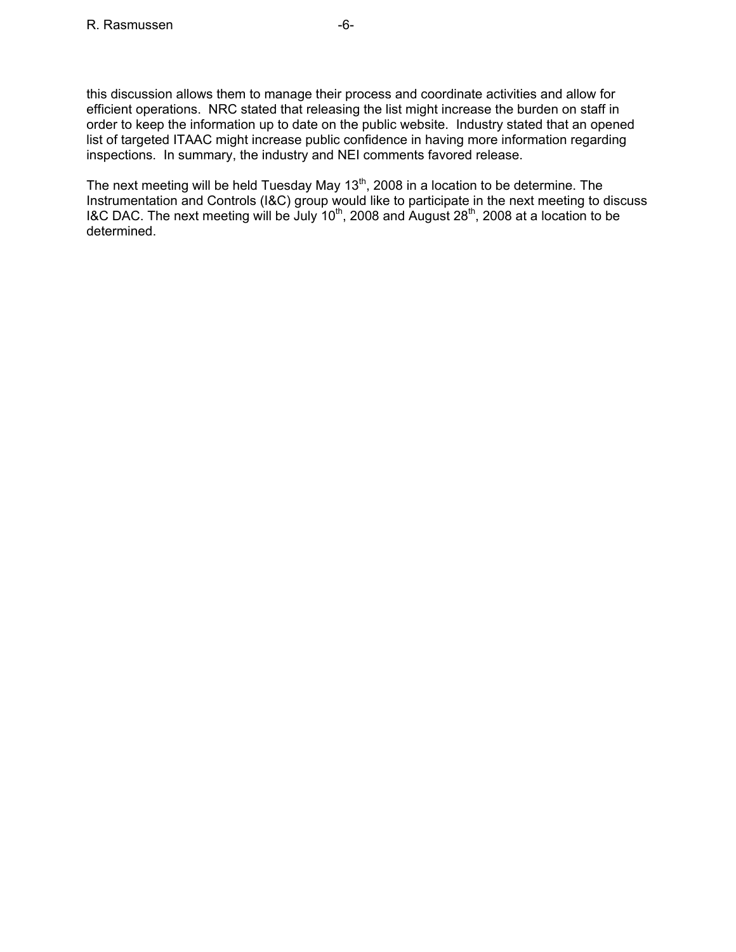this discussion allows them to manage their process and coordinate activities and allow for efficient operations. NRC stated that releasing the list might increase the burden on staff in order to keep the information up to date on the public website. Industry stated that an opened list of targeted ITAAC might increase public confidence in having more information regarding inspections. In summary, the industry and NEI comments favored release.

The next meeting will be held Tuesday May  $13<sup>th</sup>$ , 2008 in a location to be determine. The Instrumentation and Controls (I&C) group would like to participate in the next meeting to discuss I&C DAC. The next meeting will be July  $10^{th}$ , 2008 and August 28<sup>th</sup>, 2008 at a location to be determined.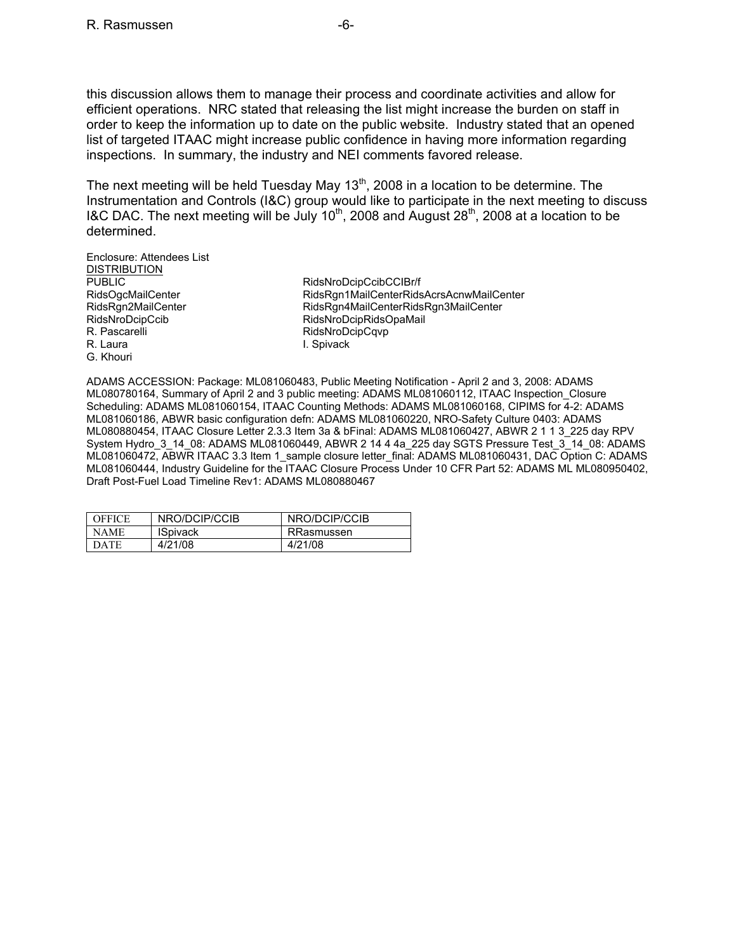this discussion allows them to manage their process and coordinate activities and allow for efficient operations. NRC stated that releasing the list might increase the burden on staff in order to keep the information up to date on the public website. Industry stated that an opened list of targeted ITAAC might increase public confidence in having more information regarding inspections. In summary, the industry and NEI comments favored release.

The next meeting will be held Tuesday May  $13<sup>th</sup>$ , 2008 in a location to be determine. The Instrumentation and Controls (I&C) group would like to participate in the next meeting to discuss I&C DAC. The next meeting will be July 10<sup>th</sup>, 2008 and August 28<sup>th</sup>, 2008 at a location to be determined.

Enclosure: Attendees List DISTRIBUTION PUBLIC RidsNroDcipCcibCCIBr/f R. Pascarelli **RidsNroDcipCqvp**<br>R. Laura **R. Laura** R. Laura G. Khouri

RidsOgcMailCenter **RidsRgn1MailCenterRidsAcrsAcnwMailCenter** RidsRgn2MailCenter RidsRgn4MailCenterRidsRgn3MailCenter RidsNroDcipCcib RidsNroDcipRidsOpaMail I. Spivack

ADAMS ACCESSION: Package: ML081060483, Public Meeting Notification - April 2 and 3, 2008: ADAMS ML080780164, Summary of April 2 and 3 public meeting: ADAMS ML081060112, ITAAC Inspection\_Closure Scheduling: ADAMS ML081060154, ITAAC Counting Methods: ADAMS ML081060168, CIPIMS for 4-2: ADAMS ML081060186, ABWR basic configuration defn: ADAMS ML081060220, NRO-Safety Culture 0403: ADAMS ML080880454, ITAAC Closure Letter 2.3.3 Item 3a & bFinal: ADAMS ML081060427, ABWR 2 1 1 3\_225 day RPV System Hydro 3 14 08: ADAMS ML081060449, ABWR 2 14 4 4a\_225 day SGTS Pressure Test\_3\_14\_08: ADAMS ML081060472, ABWR ITAAC 3.3 Item 1 sample closure letter final: ADAMS ML081060431, DAC Option C: ADAMS ML081060444, Industry Guideline for the ITAAC Closure Process Under 10 CFR Part 52: ADAMS ML ML080950402, Draft Post-Fuel Load Timeline Rev1: ADAMS ML080880467

| <b>OFFICE</b> | NRO/DCIP/CCIB   | NRO/DCIP/CCIB |
|---------------|-----------------|---------------|
| NAME.         | <b>ISpivack</b> | RRasmussen    |
| <b>DATE</b>   | 4/21/08         | 4/21/08       |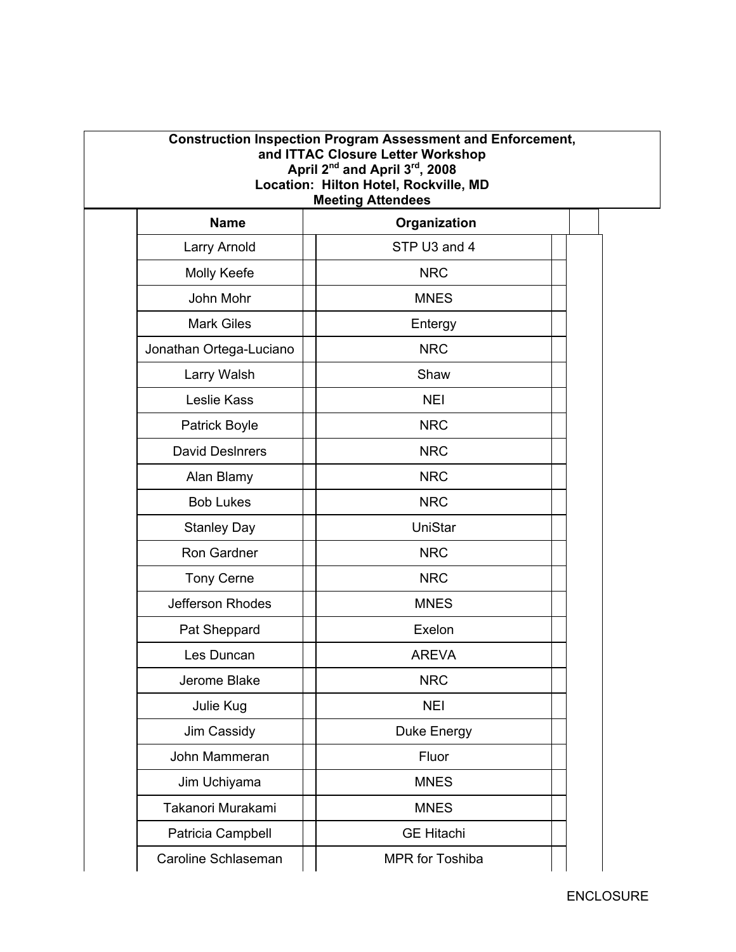| <b>Construction Inspection Program Assessment and Enforcement,</b><br>and ITTAC Closure Letter Workshop<br>April 2 <sup>nd</sup> and April 3 <sup>rd</sup> , 2008<br>Location: Hilton Hotel, Rockville, MD<br><b>Meeting Attendees</b> |  |                   |  |  |
|----------------------------------------------------------------------------------------------------------------------------------------------------------------------------------------------------------------------------------------|--|-------------------|--|--|
| <b>Name</b>                                                                                                                                                                                                                            |  | Organization      |  |  |
| Larry Arnold                                                                                                                                                                                                                           |  | STP U3 and 4      |  |  |
| Molly Keefe                                                                                                                                                                                                                            |  | <b>NRC</b>        |  |  |
| John Mohr                                                                                                                                                                                                                              |  | <b>MNES</b>       |  |  |
| <b>Mark Giles</b>                                                                                                                                                                                                                      |  | Entergy           |  |  |
| Jonathan Ortega-Luciano                                                                                                                                                                                                                |  | <b>NRC</b>        |  |  |
| Larry Walsh                                                                                                                                                                                                                            |  | Shaw              |  |  |
| Leslie Kass                                                                                                                                                                                                                            |  | <b>NEI</b>        |  |  |
| <b>Patrick Boyle</b>                                                                                                                                                                                                                   |  | <b>NRC</b>        |  |  |
| <b>David DesInrers</b>                                                                                                                                                                                                                 |  | <b>NRC</b>        |  |  |
| Alan Blamy                                                                                                                                                                                                                             |  | <b>NRC</b>        |  |  |
| <b>Bob Lukes</b>                                                                                                                                                                                                                       |  | <b>NRC</b>        |  |  |
| <b>Stanley Day</b>                                                                                                                                                                                                                     |  | UniStar           |  |  |
| Ron Gardner                                                                                                                                                                                                                            |  | <b>NRC</b>        |  |  |
| <b>Tony Cerne</b>                                                                                                                                                                                                                      |  | <b>NRC</b>        |  |  |
| Jefferson Rhodes                                                                                                                                                                                                                       |  | <b>MNES</b>       |  |  |
| Pat Sheppard                                                                                                                                                                                                                           |  | Exelon            |  |  |
| Les Duncan                                                                                                                                                                                                                             |  | <b>AREVA</b>      |  |  |
| Jerome Blake                                                                                                                                                                                                                           |  | <b>NRC</b>        |  |  |
| Julie Kug                                                                                                                                                                                                                              |  | <b>NEI</b>        |  |  |
| Jim Cassidy                                                                                                                                                                                                                            |  | Duke Energy       |  |  |
| John Mammeran                                                                                                                                                                                                                          |  | Fluor             |  |  |
| Jim Uchiyama                                                                                                                                                                                                                           |  | <b>MNES</b>       |  |  |
| Takanori Murakami                                                                                                                                                                                                                      |  | <b>MNES</b>       |  |  |
| Patricia Campbell                                                                                                                                                                                                                      |  | <b>GE Hitachi</b> |  |  |
| Caroline Schlaseman                                                                                                                                                                                                                    |  | MPR for Toshiba   |  |  |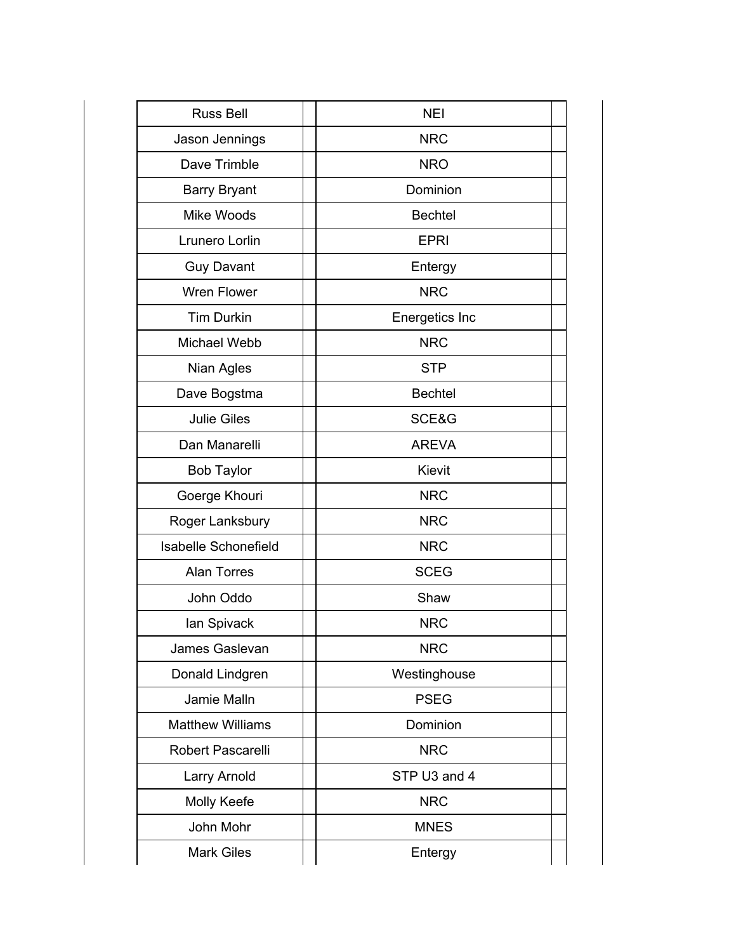| <b>Russ Bell</b>            | <b>NEI</b>     |  |
|-----------------------------|----------------|--|
| Jason Jennings              | <b>NRC</b>     |  |
| Dave Trimble                | <b>NRO</b>     |  |
| <b>Barry Bryant</b>         | Dominion       |  |
| Mike Woods                  | <b>Bechtel</b> |  |
| <b>Lrunero Lorlin</b>       | <b>EPRI</b>    |  |
| <b>Guy Davant</b>           | Entergy        |  |
| <b>Wren Flower</b>          | <b>NRC</b>     |  |
| <b>Tim Durkin</b>           | Energetics Inc |  |
| Michael Webb                | <b>NRC</b>     |  |
| Nian Agles                  | <b>STP</b>     |  |
| Dave Bogstma                | <b>Bechtel</b> |  |
| <b>Julie Giles</b>          | SCE&G          |  |
| Dan Manarelli               | <b>AREVA</b>   |  |
| <b>Bob Taylor</b>           | Kievit         |  |
| Goerge Khouri               | <b>NRC</b>     |  |
| Roger Lanksbury             | <b>NRC</b>     |  |
| <b>Isabelle Schonefield</b> | <b>NRC</b>     |  |
| <b>Alan Torres</b>          | <b>SCEG</b>    |  |
| John Oddo                   | Shaw           |  |
| lan Spivack                 | <b>NRC</b>     |  |
| James Gaslevan              | <b>NRC</b>     |  |
| Donald Lindgren             | Westinghouse   |  |
| Jamie Malln                 | <b>PSEG</b>    |  |
| <b>Matthew Williams</b>     | Dominion       |  |
| Robert Pascarelli           | <b>NRC</b>     |  |
| Larry Arnold                | STP U3 and 4   |  |
| Molly Keefe                 | <b>NRC</b>     |  |
| John Mohr                   | <b>MNES</b>    |  |
| <b>Mark Giles</b>           | Entergy        |  |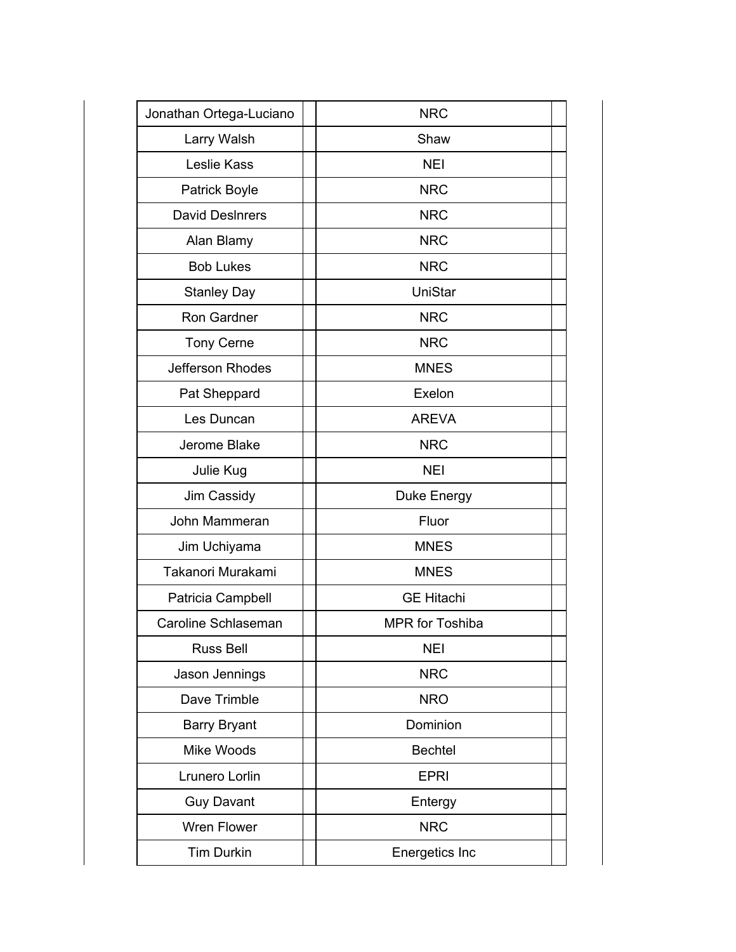| Jonathan Ortega-Luciano | <b>NRC</b>             |  |
|-------------------------|------------------------|--|
| Larry Walsh             | Shaw                   |  |
| Leslie Kass             | <b>NEI</b>             |  |
| <b>Patrick Boyle</b>    | <b>NRC</b>             |  |
| <b>David DesInrers</b>  | <b>NRC</b>             |  |
| Alan Blamy              | <b>NRC</b>             |  |
| <b>Bob Lukes</b>        | <b>NRC</b>             |  |
| <b>Stanley Day</b>      | UniStar                |  |
| Ron Gardner             | <b>NRC</b>             |  |
| <b>Tony Cerne</b>       | <b>NRC</b>             |  |
| Jefferson Rhodes        | <b>MNES</b>            |  |
| Pat Sheppard            | Exelon                 |  |
| Les Duncan              | <b>AREVA</b>           |  |
| Jerome Blake            | <b>NRC</b>             |  |
| Julie Kug               | <b>NEI</b>             |  |
| Jim Cassidy             | Duke Energy            |  |
| John Mammeran           | Fluor                  |  |
| Jim Uchiyama            | <b>MNES</b>            |  |
| Takanori Murakami       | <b>MNES</b>            |  |
| Patricia Campbell       | <b>GE Hitachi</b>      |  |
| Caroline Schlaseman     | <b>MPR</b> for Toshiba |  |
| <b>Russ Bell</b>        | <b>NEI</b>             |  |
| Jason Jennings          | <b>NRC</b>             |  |
| Dave Trimble            | <b>NRO</b>             |  |
| <b>Barry Bryant</b>     | Dominion               |  |
| Mike Woods              | <b>Bechtel</b>         |  |
| Lrunero Lorlin          | <b>EPRI</b>            |  |
| <b>Guy Davant</b>       | Entergy                |  |
| Wren Flower             | <b>NRC</b>             |  |
| <b>Tim Durkin</b>       | Energetics Inc         |  |
|                         |                        |  |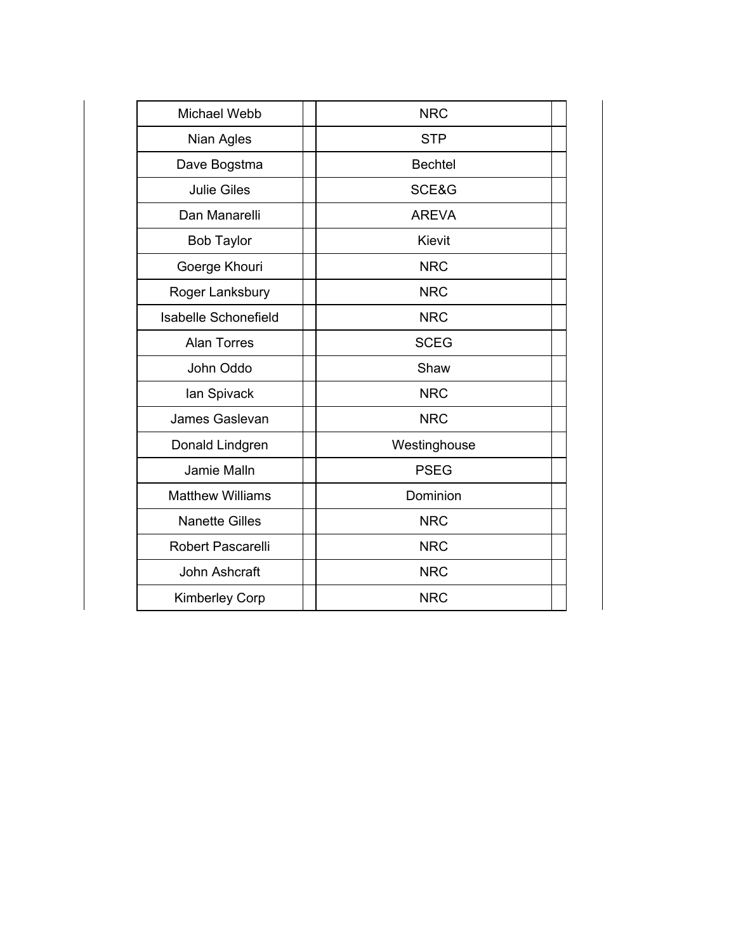| <b>Michael Webb</b>         | <b>NRC</b>     |
|-----------------------------|----------------|
| Nian Agles                  | <b>STP</b>     |
| Dave Bogstma                | <b>Bechtel</b> |
| <b>Julie Giles</b>          | SCE&G          |
| Dan Manarelli               | <b>AREVA</b>   |
| <b>Bob Taylor</b>           | <b>Kievit</b>  |
| Goerge Khouri               | <b>NRC</b>     |
| Roger Lanksbury             | <b>NRC</b>     |
| <b>Isabelle Schonefield</b> | <b>NRC</b>     |
| <b>Alan Torres</b>          | <b>SCEG</b>    |
| John Oddo                   | Shaw           |
| lan Spivack                 | <b>NRC</b>     |
| James Gaslevan              | <b>NRC</b>     |
| Donald Lindgren             | Westinghouse   |
| Jamie Malln                 | <b>PSEG</b>    |
| <b>Matthew Williams</b>     | Dominion       |
| <b>Nanette Gilles</b>       | <b>NRC</b>     |
| <b>Robert Pascarelli</b>    | <b>NRC</b>     |
| John Ashcraft               | <b>NRC</b>     |
| <b>Kimberley Corp</b>       | <b>NRC</b>     |
|                             |                |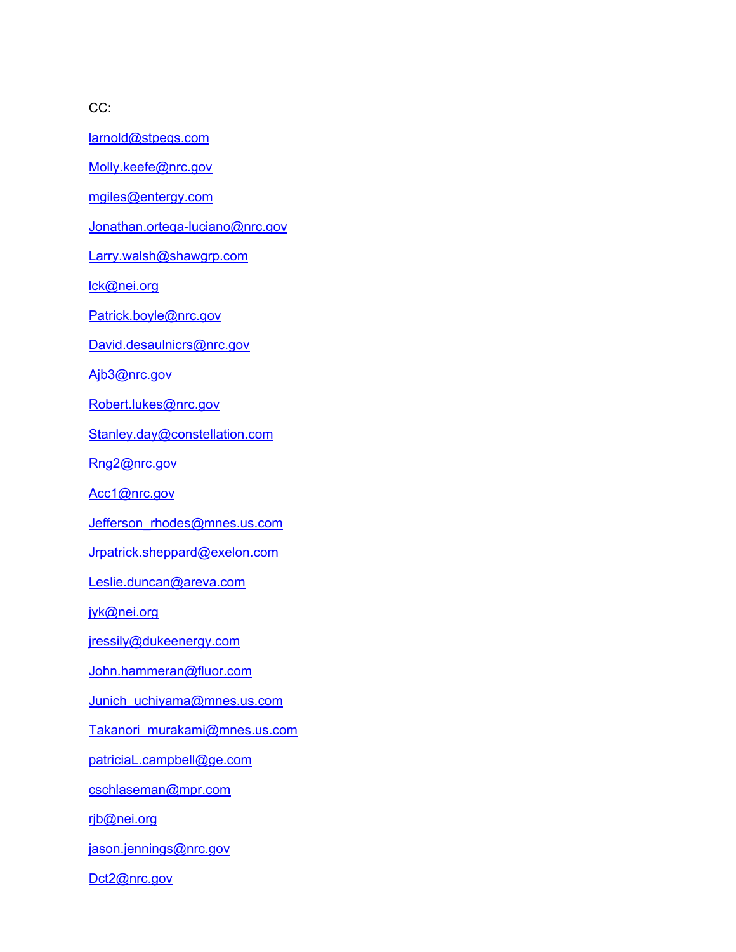CC:

larnold@stpegs.com

Molly.keefe@nrc.gov

mgiles@entergy.com

Jonathan.ortega-luciano@nrc.gov

Larry.walsh@shawgrp.com

lck@nei.org

Patrick.boyle@nrc.gov

David.desaulnicrs@nrc.gov

Ajb3@nrc.gov

Robert.lukes@nrc.gov

Stanley.day@constellation.com

Rng2@nrc.gov

Acc1@nrc.gov

Jefferson\_rhodes@mnes.us.com

Jrpatrick.sheppard@exelon.com

Leslie.duncan@areva.com

jyk@nei.org

jressily@dukeenergy.com

John.hammeran@fluor.com

Junich\_uchiyama@mnes.us.com

Takanori\_murakami@mnes.us.com

patriciaL.campbell@ge.com

cschlaseman@mpr.com

rjb@nei.org

jason.jennings@nrc.gov

Dct2@nrc.gov